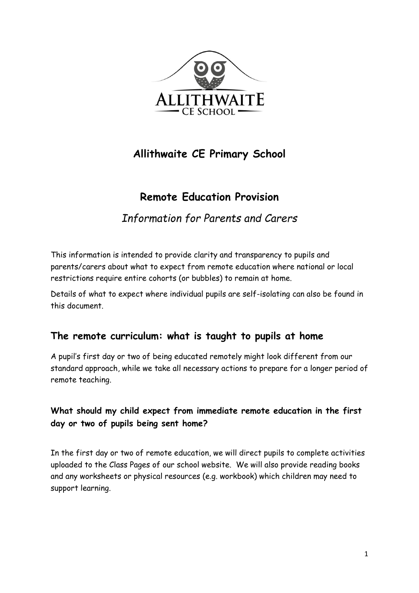

# **Allithwaite CE Primary School**

# **Remote Education Provision**

# *Information for Parents and Carers*

This information is intended to provide clarity and transparency to pupils and parents/carers about what to expect from remote education where national or local restrictions require entire cohorts (or bubbles) to remain at home.

Details of what to expect where individual pupils are self-isolating can also be found in this document.

### **The remote curriculum: what is taught to pupils at home**

A pupil's first day or two of being educated remotely might look different from our standard approach, while we take all necessary actions to prepare for a longer period of remote teaching.

### **What should my child expect from immediate remote education in the first day or two of pupils being sent home?**

In the first day or two of remote education, we will direct pupils to complete activities uploaded to the Class Pages of our school website. We will also provide reading books and any worksheets or physical resources (e.g. workbook) which children may need to support learning.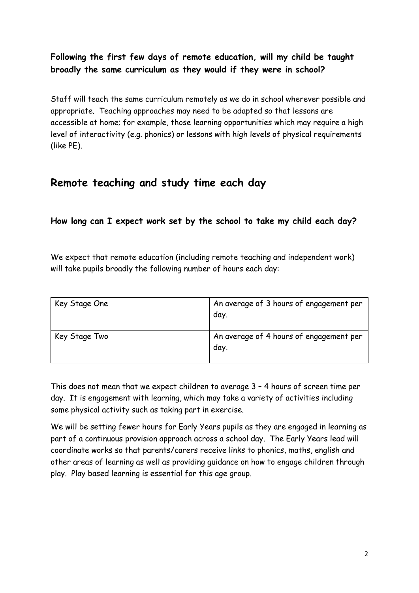### **Following the first few days of remote education, will my child be taught broadly the same curriculum as they would if they were in school?**

Staff will teach the same curriculum remotely as we do in school wherever possible and appropriate. Teaching approaches may need to be adapted so that lessons are accessible at home; for example, those learning opportunities which may require a high level of interactivity (e.g. phonics) or lessons with high levels of physical requirements (like PE).

# **Remote teaching and study time each day**

#### **How long can I expect work set by the school to take my child each day?**

We expect that remote education (including remote teaching and independent work) will take pupils broadly the following number of hours each day:

| Key Stage One | An average of 3 hours of engagement per<br>day. |
|---------------|-------------------------------------------------|
| Key Stage Two | An average of 4 hours of engagement per<br>day. |

This does not mean that we expect children to average 3 – 4 hours of screen time per day. It is engagement with learning, which may take a variety of activities including some physical activity such as taking part in exercise.

We will be setting fewer hours for Early Years pupils as they are engaged in learning as part of a continuous provision approach across a school day. The Early Years lead will coordinate works so that parents/carers receive links to phonics, maths, english and other areas of learning as well as providing guidance on how to engage children through play. Play based learning is essential for this age group.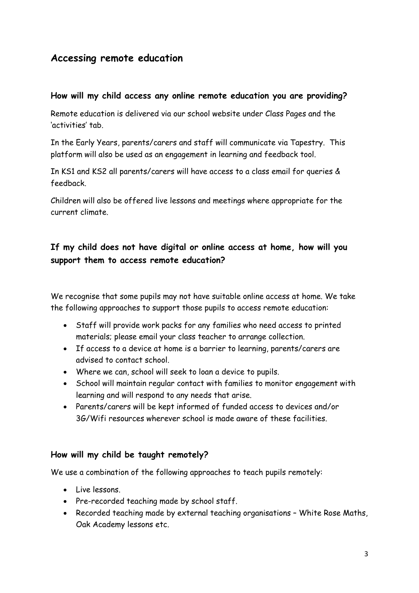### **Accessing remote education**

#### **How will my child access any online remote education you are providing?**

Remote education is delivered via our school website under Class Pages and the 'activities' tab.

In the Early Years, parents/carers and staff will communicate via Tapestry. This platform will also be used as an engagement in learning and feedback tool.

In KS1 and KS2 all parents/carers will have access to a class email for queries & feedback.

Children will also be offered live lessons and meetings where appropriate for the current climate.

#### **If my child does not have digital or online access at home, how will you support them to access remote education?**

We recognise that some pupils may not have suitable online access at home. We take the following approaches to support those pupils to access remote education:

- Staff will provide work packs for any families who need access to printed materials; please email your class teacher to arrange collection.
- If access to a device at home is a barrier to learning, parents/carers are advised to contact school.
- Where we can, school will seek to loan a device to pupils.
- School will maintain regular contact with families to monitor engagement with learning and will respond to any needs that arise.
- Parents/carers will be kept informed of funded access to devices and/or 3G/Wifi resources wherever school is made aware of these facilities.

#### **How will my child be taught remotely?**

We use a combination of the following approaches to teach pupils remotely:

- Live lessons.
- Pre-recorded teaching made by school staff.
- Recorded teaching made by external teaching organisations White Rose Maths, Oak Academy lessons etc.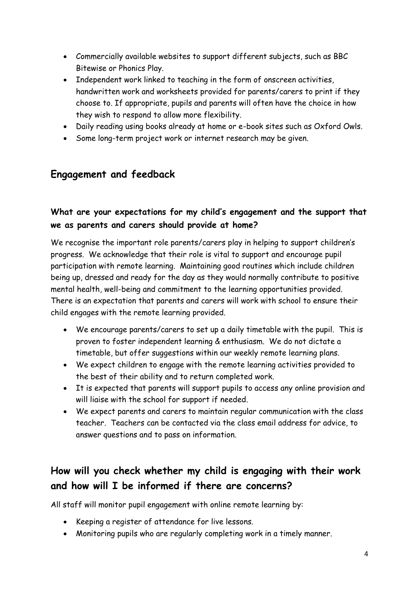- Commercially available websites to support different subjects, such as BBC Bitewise or Phonics Play.
- Independent work linked to teaching in the form of onscreen activities, handwritten work and worksheets provided for parents/carers to print if they choose to. If appropriate, pupils and parents will often have the choice in how they wish to respond to allow more flexibility.
- Daily reading using books already at home or e-book sites such as Oxford Owls.
- Some long-term project work or internet research may be given.

## **Engagement and feedback**

#### **What are your expectations for my child's engagement and the support that we as parents and carers should provide at home?**

We recognise the important role parents/carers play in helping to support children's progress. We acknowledge that their role is vital to support and encourage pupil participation with remote learning. Maintaining good routines which include children being up, dressed and ready for the day as they would normally contribute to positive mental health, well-being and commitment to the learning opportunities provided. There is an expectation that parents and carers will work with school to ensure their child engages with the remote learning provided.

- We encourage parents/carers to set up a daily timetable with the pupil. This is proven to foster independent learning & enthusiasm. We do not dictate a timetable, but offer suggestions within our weekly remote learning plans.
- We expect children to engage with the remote learning activities provided to the best of their ability and to return completed work.
- It is expected that parents will support pupils to access any online provision and will liaise with the school for support if needed.
- We expect parents and carers to maintain regular communication with the class teacher. Teachers can be contacted via the class email address for advice, to answer questions and to pass on information.

# **How will you check whether my child is engaging with their work and how will I be informed if there are concerns?**

All staff will monitor pupil engagement with online remote learning by:

- Keeping a register of attendance for live lessons.
- Monitoring pupils who are regularly completing work in a timely manner.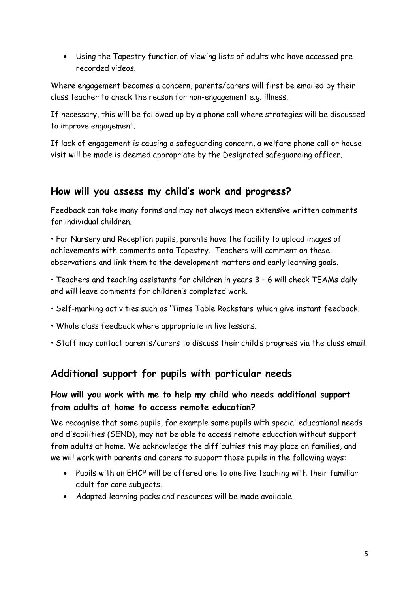Using the Tapestry function of viewing lists of adults who have accessed pre recorded videos.

Where engagement becomes a concern, parents/carers will first be emailed by their class teacher to check the reason for non-engagement e.g. illness.

If necessary, this will be followed up by a phone call where strategies will be discussed to improve engagement.

If lack of engagement is causing a safeguarding concern, a welfare phone call or house visit will be made is deemed appropriate by the Designated safeguarding officer.

### **How will you assess my child's work and progress?**

Feedback can take many forms and may not always mean extensive written comments for individual children.

• For Nursery and Reception pupils, parents have the facility to upload images of achievements with comments onto Tapestry. Teachers will comment on these observations and link them to the development matters and early learning goals.

• Teachers and teaching assistants for children in years 3 – 6 will check TEAMs daily and will leave comments for children's completed work.

- Self-marking activities such as 'Times Table Rockstars' which give instant feedback.
- Whole class feedback where appropriate in live lessons.
- Staff may contact parents/carers to discuss their child's progress via the class email.

# **Additional support for pupils with particular needs**

#### **How will you work with me to help my child who needs additional support from adults at home to access remote education?**

We recognise that some pupils, for example some pupils with special educational needs and disabilities (SEND), may not be able to access remote education without support from adults at home. We acknowledge the difficulties this may place on families, and we will work with parents and carers to support those pupils in the following ways:

- Pupils with an EHCP will be offered one to one live teaching with their familiar adult for core subjects.
- Adapted learning packs and resources will be made available.